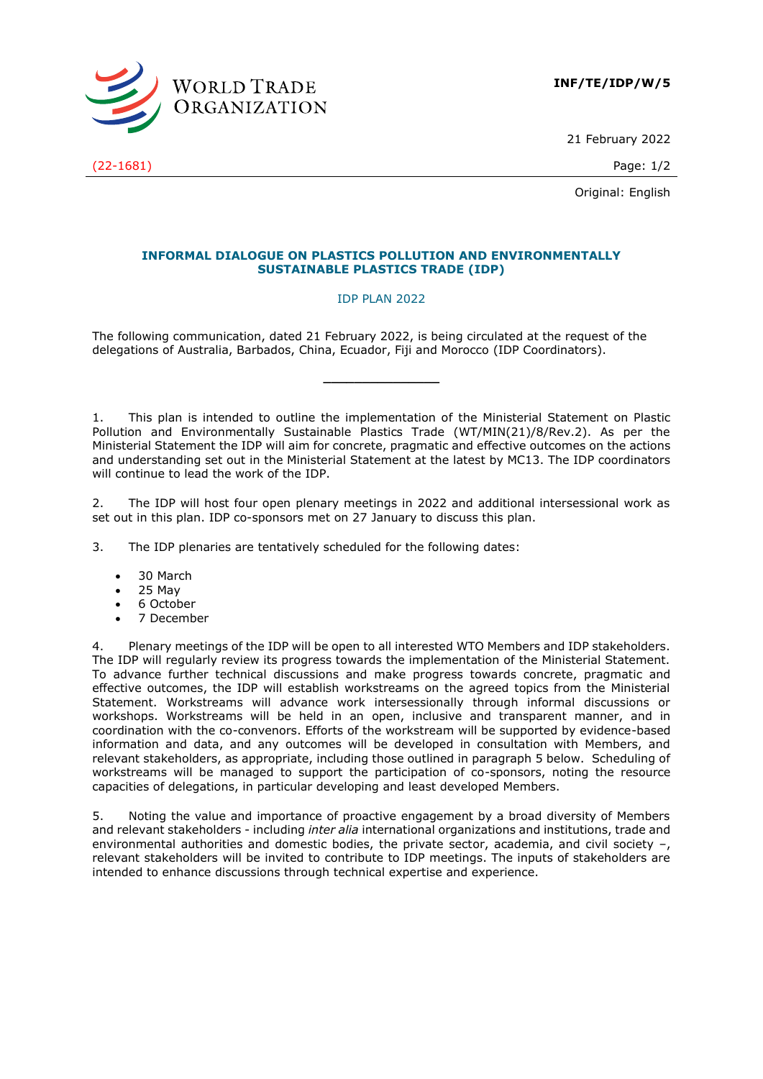

21 February 2022

Original: English

## **INFORMAL DIALOGUE ON PLASTICS POLLUTION AND ENVIRONMENTALLY SUSTAINABLE PLASTICS TRADE (IDP)**

#### IDP PLAN 2022

The following communication, dated 21 February 2022, is being circulated at the request of the delegations of Australia, Barbados, China, Ecuador, Fiji and Morocco (IDP Coordinators).

1. This plan is intended to outline the implementation of the Ministerial Statement on Plastic Pollution and Environmentally Sustainable Plastics Trade (WT/MIN(21)/8/Rev.2). As per the Ministerial Statement the IDP will aim for concrete, pragmatic and effective outcomes on the actions and understanding set out in the Ministerial Statement at the latest by MC13. The IDP coordinators will continue to lead the work of the IDP.

**\_\_\_\_\_\_\_\_\_\_\_\_\_\_\_**

2. The IDP will host four open plenary meetings in 2022 and additional intersessional work as set out in this plan. IDP co-sponsors met on 27 January to discuss this plan.

3. The IDP plenaries are tentatively scheduled for the following dates:

- 30 March
- 25 May
- 6 October
- 7 December

4. Plenary meetings of the IDP will be open to all interested WTO Members and IDP stakeholders. The IDP will regularly review its progress towards the implementation of the Ministerial Statement. To advance further technical discussions and make progress towards concrete, pragmatic and effective outcomes, the IDP will establish workstreams on the agreed topics from the Ministerial Statement. Workstreams will advance work intersessionally through informal discussions or workshops. Workstreams will be held in an open, inclusive and transparent manner, and in coordination with the co-convenors. Efforts of the workstream will be supported by evidence-based information and data, and any outcomes will be developed in consultation with Members, and relevant stakeholders, as appropriate, including those outlined in paragraph 5 below. Scheduling of workstreams will be managed to support the participation of co-sponsors, noting the resource capacities of delegations, in particular developing and least developed Members.

5. Noting the value and importance of proactive engagement by a broad diversity of Members and relevant stakeholders - including *inter alia* international organizations and institutions, trade and environmental authorities and domestic bodies, the private sector, academia, and civil society –, relevant stakeholders will be invited to contribute to IDP meetings. The inputs of stakeholders are intended to enhance discussions through technical expertise and experience.

(22-1681) Page: 1/2